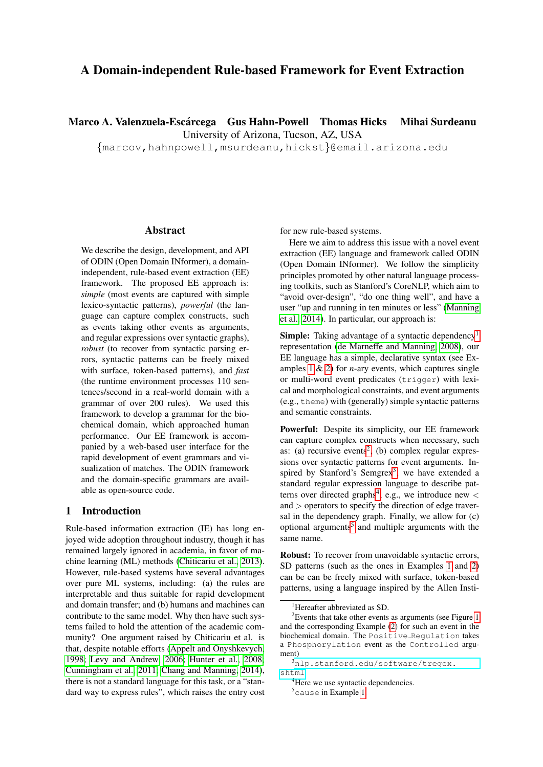# A Domain-independent Rule-based Framework for Event Extraction

Marco A. Valenzuela-Escárcega Gus Hahn-Powell Thomas Hicks Mihai Surdeanu

University of Arizona, Tucson, AZ, USA

{marcov,hahnpowell,msurdeanu,hickst}@email.arizona.edu

### Abstract

We describe the design, development, and API of ODIN (Open Domain INformer), a domainindependent, rule-based event extraction (EE) framework. The proposed EE approach is: *simple* (most events are captured with simple lexico-syntactic patterns), *powerful* (the language can capture complex constructs, such as events taking other events as arguments, and regular expressions over syntactic graphs), *robust* (to recover from syntactic parsing errors, syntactic patterns can be freely mixed with surface, token-based patterns), and *fast* (the runtime environment processes 110 sentences/second in a real-world domain with a grammar of over 200 rules). We used this framework to develop a grammar for the biochemical domain, which approached human performance. Our EE framework is accompanied by a web-based user interface for the rapid development of event grammars and visualization of matches. The ODIN framework and the domain-specific grammars are available as open-source code.

## 1 Introduction

Rule-based information extraction (IE) has long enjoyed wide adoption throughout industry, though it has remained largely ignored in academia, in favor of machine learning (ML) methods [\(Chiticariu et al., 2013\)](#page-5-0). However, rule-based systems have several advantages over pure ML systems, including: (a) the rules are interpretable and thus suitable for rapid development and domain transfer; and (b) humans and machines can contribute to the same model. Why then have such systems failed to hold the attention of the academic community? One argument raised by Chiticariu et al. is that, despite notable efforts [\(Appelt and Onyshkevych,](#page-5-1) [1998;](#page-5-1) [Levy and Andrew, 2006;](#page-5-2) [Hunter et al., 2008;](#page-5-3) [Cunningham et al., 2011;](#page-5-4) [Chang and Manning, 2014\)](#page-5-5), there is not a standard language for this task, or a "standard way to express rules", which raises the entry cost for new rule-based systems.

Here we aim to address this issue with a novel event extraction (EE) language and framework called ODIN (Open Domain INformer). We follow the simplicity principles promoted by other natural language processing toolkits, such as Stanford's CoreNLP, which aim to "avoid over-design", "do one thing well", and have a user "up and running in ten minutes or less" [\(Manning](#page-5-6) [et al., 2014\)](#page-5-6). In particular, our approach is:

Simple: Taking advantage of a syntactic dependency<sup>[1](#page-0-0)</sup> representation [\(de Marneffe and Manning, 2008\)](#page-5-7), our EE language has a simple, declarative syntax (see Examples [1](#page-1-0) & [2\)](#page-2-0) for *n*-ary events, which captures single or multi-word event predicates (trigger) with lexical and morphological constraints, and event arguments (e.g., theme) with (generally) simple syntactic patterns and semantic constraints.

Powerful: Despite its simplicity, our EE framework can capture complex constructs when necessary, such as: (a) recursive events<sup>[2](#page-0-1)</sup>, (b) complex regular expressions over syntactic patterns for event arguments. In-spired by Stanford's Semgrex<sup>[3](#page-0-2)</sup>, we have extended a standard regular expression language to describe pat-terns over directed graphs<sup>[4](#page-0-3)</sup>, e.g., we introduce new  $\lt$ and > operators to specify the direction of edge traversal in the dependency graph. Finally, we allow for (c) optional arguments<sup>[5](#page-0-4)</sup> and multiple arguments with the same name.

Robust: To recover from unavoidable syntactic errors, SD patterns (such as the ones in Examples [1](#page-1-0) and [2\)](#page-2-0) can be can be freely mixed with surface, token-based patterns, using a language inspired by the Allen Insti-

<span id="page-0-1"></span><span id="page-0-0"></span><sup>&</sup>lt;sup>1</sup>Hereafter abbreviated as SD.

 $2$ Events that take other events as arguments (see Figure [1](#page-1-1) and the corresponding Example [\(2\)](#page-2-0) for such an event in the biochemical domain. The Positive Regulation takes a Phosphorylation event as the Controlled argument)

<span id="page-0-2"></span><sup>3</sup>[nlp.stanford.edu/software/tregex.](nlp.stanford.edu/software/tregex.shtml) [shtml](nlp.stanford.edu/software/tregex.shtml)

<span id="page-0-3"></span><sup>&</sup>lt;sup>4</sup>Here we use syntactic dependencies.

<span id="page-0-4"></span><sup>5</sup>cause in Example [1.](#page-1-0)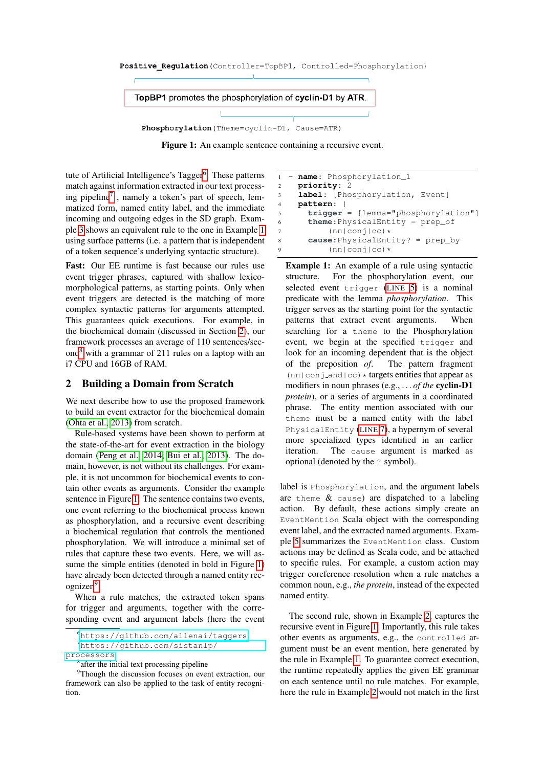#### <span id="page-1-1"></span>Positive Regulation (Controller=TopBP1, Controlled=Phosphorylation)



Figure 1: An example sentence containing a recursive event.

tute of Artificial Intelligence's Tagger<sup>[6](#page-1-2)</sup>. These patterns match against information extracted in our text process-ing pipeline<sup>[7](#page-1-3)</sup>, namely a token's part of speech, lemmatized form, named entity label, and the immediate incoming and outgoing edges in the SD graph. Example [3](#page-2-1) shows an equivalent rule to the one in Example [1](#page-1-0) using surface patterns (i.e. a pattern that is independent of a token sequence's underlying syntactic structure).

Fast: Our EE runtime is fast because our rules use event trigger phrases, captured with shallow lexicomorphological patterns, as starting points. Only when event triggers are detected is the matching of more complex syntactic patterns for arguments attempted. This guarantees quick executions. For example, in the biochemical domain (discussed in Section [2\)](#page-1-4), our framework processes an average of 110 sentences/second[8](#page-1-5) with a grammar of 211 rules on a laptop with an i7 CPU and 16GB of RAM.

## <span id="page-1-4"></span>2 Building a Domain from Scratch

We next describe how to use the proposed framework to build an event extractor for the biochemical domain [\(Ohta et al., 2013\)](#page-5-8) from scratch.

Rule-based systems have been shown to perform at the state-of-the-art for event extraction in the biology domain [\(Peng et al., 2014;](#page-5-9) [Bui et al., 2013\)](#page-5-10). The domain, however, is not without its challenges. For example, it is not uncommon for biochemical events to contain other events as arguments. Consider the example sentence in Figure [1.](#page-1-1) The sentence contains two events, one event referring to the biochemical process known as phosphorylation, and a recursive event describing a biochemical regulation that controls the mentioned phosphorylation. We will introduce a minimal set of rules that capture these two events. Here, we will assume the simple entities (denoted in bold in Figure [1\)](#page-1-1) have already been detected through a named entity recognizer.[9](#page-1-6)

When a rule matches, the extracted token spans for trigger and arguments, together with the corresponding event and argument labels (here the event

```
1 - name: Phosphorylation_1
2 priority: 2
3 label: [Phosphorylation, Event]
4 pattern: |
5 trigger = [lemma="phosphorylation"]
6 theme:PhysicalEntity = prep_of
7 (nn|conj|cc)*<br>8 cause:PhysicalEnt
      8 cause:PhysicalEntity? = prep_by
9 (nn|conj|cc)*
```
<span id="page-1-8"></span>Example 1: An example of a rule using syntactic structure. For the phosphorylation event, our selected event trigger ([LINE](#page-1-7) [5\)](#page-1-7) is a nominal predicate with the lemma *phosphorylation*. This trigger serves as the starting point for the syntactic patterns that extract event arguments. When searching for a theme to the Phosphorylation event, we begin at the specified trigger and look for an incoming dependent that is the object of the preposition *of*. The pattern fragment  $(\text{nn}| \text{conj_and}| \text{cc}) * \text{targets entities that appear as}$ modifiers in noun phrases (e.g., *. . . of the* cyclin-D1 *protein*), or a series of arguments in a coordinated phrase. The entity mention associated with our theme must be a named entity with the label PhysicalEntity ([LINE](#page-1-8) [7\)](#page-1-8), a hypernym of several more specialized types identified in an earlier iteration. The cause argument is marked as optional (denoted by the ? symbol).

label is Phosphorylation, and the argument labels are theme  $\&$  cause) are dispatched to a labeling action. By default, these actions simply create an EventMention Scala object with the corresponding event label, and the extracted named arguments. Example [5](#page-3-0) summarizes the EventMention class. Custom actions may be defined as Scala code, and be attached to specific rules. For example, a custom action may trigger coreference resolution when a rule matches a common noun, e.g., *the protein*, instead of the expected named entity.

The second rule, shown in Example [2,](#page-2-0) captures the recursive event in Figure [1.](#page-1-1) Importantly, this rule takes other events as arguments, e.g., the controlled argument must be an event mention, here generated by the rule in Example [1.](#page-1-0) To guarantee correct execution, the runtime repeatedly applies the given EE grammar on each sentence until no rule matches. For example, here the rule in Example [2](#page-2-0) would not match in the first

<span id="page-1-3"></span><span id="page-1-2"></span><sup>6</sup><https://github.com/allenai/taggers>

<sup>7</sup>[https://github.com/sistanlp/](https://github.com/sistanlp/processors) [processors](https://github.com/sistanlp/processors)

<span id="page-1-6"></span><span id="page-1-5"></span><sup>&</sup>lt;sup>8</sup> after the initial text processing pipeline

<sup>&</sup>lt;sup>9</sup>Though the discussion focuses on event extraction, our framework can also be applied to the task of entity recognition.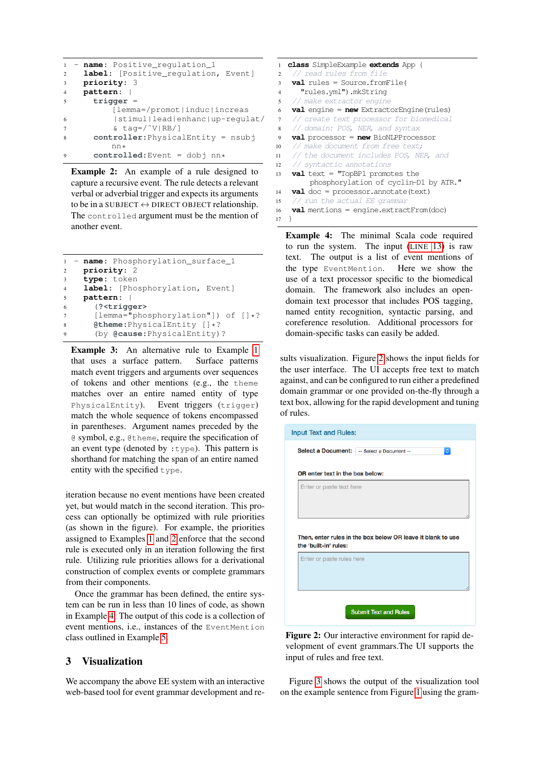```
1 - name: Positive_regulation_1
2 label: [Positive_regulation, Event]
3 priority: 3
4 pattern: |
5 trigger =
         [lemma=/promot|induc|increas
6 |stimul|lead|enhanc|up-regulat/
\frac{1}{2} & tag=/\frac{v}{x}|RB/]
8 controller:PhysicalEntity = nsubj
         nn*
9 controlled:Event = dobj nn*
```
Example 2: An example of a rule designed to capture a recursive event. The rule detects a relevant verbal or adverbial trigger and expects its arguments to be in a SUBJECT  $\leftrightarrow$  DIRECT OBJECT relationship. The controlled argument must be the mention of another event.

```
1 - name: Phosphorylation_surface_1
2 priority: 2
3 type: token
    1abel: [Phosphorylation, Event]
5 pattern: |
6 (?<trigger>
7 [lemma="phosphorylation"]) of []*?
8 @theme:PhysicalEntity []*?<br>9 (by @cause:PhysicalEntity)
      9 (by @cause:PhysicalEntity)?
```
**Example 3:** An alternative rule to Example [1](#page-1-0) that uses a surface pattern. Surface patterns match event triggers and arguments over sequences of tokens and other mentions (e.g., the theme matches over an entire named entity of type PhysicalEntity). Event triggers (trigger) match the whole sequence of tokens encompassed in parentheses. Argument names preceded by the @ symbol, e.g., @theme, require the specification of an event type (denoted by  $:$  type). This pattern is shorthand for matching the span of an entire named entity with the specified type.

iteration because no event mentions have been created yet, but would match in the second iteration. This process can optionally be optimized with rule priorities (as shown in the figure). For example, the priorities assigned to Examples [1](#page-1-0) and [2](#page-2-0) enforce that the second rule is executed only in an iteration following the first rule. Utilizing rule priorities allows for a derivational construction of complex events or complete grammars from their components.

Once the grammar has been defined, the entire system can be run in less than 10 lines of code, as shown in Example [4.](#page-2-2) The output of this code is a collection of event mentions, i.e., instances of the EventMention class outlined in Example [5.](#page-3-0)

## 3 Visualization

We accompany the above EE system with an interactive web-based tool for event grammar development and re-

<span id="page-2-2"></span>

| 1              | <b>class</b> SimpleExample <b>extends</b> App {   |
|----------------|---------------------------------------------------|
| $\overline{c}$ | // read rules from file                           |
| 3              | $val$ rules = Source.fromFile(                    |
| $\overline{4}$ | "rules.yml").mkStrinq                             |
| 5              | // make extractor engine                          |
| 6              | $val$ engine = $new$ Extractor Engine (rules)     |
| $\tau$         | // create text processor for biomedical           |
| 8              | // domain: POS, NER, and syntax                   |
| 9              | $val$ processor = $new$ BioNLPProcessor           |
| 10             | // make document from free text;                  |
| 11             | // the document includes POS, NER, and            |
| 12             | // syntactic annotations                          |
| 13             | <b>val</b> text = $"TopBP1$ promotes the          |
|                | phosphorylation of cyclin-D1 by ATR."             |
| 14             | <b>val</b> $doc = processor.annotation$           |
| 15             | // run the actual EE grammar                      |
| 16             | <b>val</b> mentions = engine.extractFrom( $doc$ ) |
| 17             |                                                   |

<span id="page-2-3"></span>Example 4: The minimal Scala code required to run the system. The input ([LINE](#page-2-3) [13\)](#page-2-3) is raw text. The output is a list of event mentions of the type EventMention. Here we show the use of a text processor specific to the biomedical domain. The framework also includes an opendomain text processor that includes POS tagging, named entity recognition, syntactic parsing, and coreference resolution. Additional processors for domain-specific tasks can easily be added.

sults visualization. Figure [2](#page-2-4) shows the input fields for the user interface. The UI accepts free text to match against, and can be configured to run either a predefined domain grammar or one provided on-the-fly through a text box, allowing for the rapid development and tuning of rules.

<span id="page-2-4"></span>

| <b>Input Text and Rules:</b>                                                         |  |  |  |  |  |  |
|--------------------------------------------------------------------------------------|--|--|--|--|--|--|
| <b>Select a Document:</b> [ -- Select a Document --<br>$\mathbb{C}$                  |  |  |  |  |  |  |
| OR enter text in the box below:                                                      |  |  |  |  |  |  |
| Enter or paste text here                                                             |  |  |  |  |  |  |
|                                                                                      |  |  |  |  |  |  |
|                                                                                      |  |  |  |  |  |  |
|                                                                                      |  |  |  |  |  |  |
| Then, enter rules in the box below OR leave it blank to use<br>the 'built-in' rules: |  |  |  |  |  |  |
| Enter or paste rules here                                                            |  |  |  |  |  |  |
|                                                                                      |  |  |  |  |  |  |
|                                                                                      |  |  |  |  |  |  |

Figure 2: Our interactive environment for rapid development of event grammars.The UI supports the input of rules and free text.

Figure [3](#page-4-0) shows the output of the visualization tool on the example sentence from Figure [1](#page-1-1) using the gram-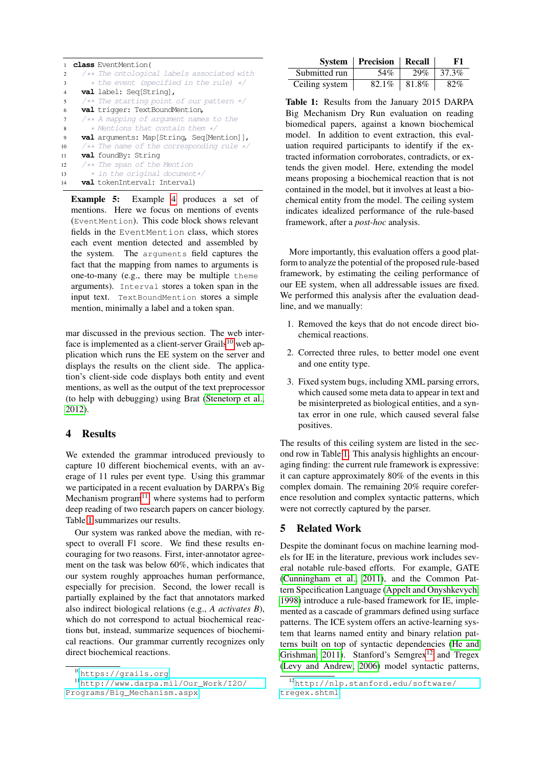<span id="page-3-0"></span>

|                | <b>class</b> EventMention(                          |
|----------------|-----------------------------------------------------|
| $\overline{c}$ | /** The ontological labels associated with          |
| 3              | * the event (specified in the rule) */              |
| 4              | <b>val</b> label: Seq[String],                      |
| 5              | $\sqrt{**}$ The starting point of our pattern $*/$  |
| 6              | <b>val</b> trigger: TextBoundMention,               |
| $\overline{7}$ | $\sqrt{**}$ A mapping of argument names to the      |
| 8              | * Mentions that contain them */                     |
| 9              | <b>val</b> arguments: Map[String, Seq[Mention]],    |
| 10             | $\sqrt{**}$ The name of the corresponding rule $*/$ |
| 11             | <b>val</b> foundBy: String                          |
| 12             | $/*$ The span of the Mention                        |
| 13             | * in the original document*/                        |
| 14             | val tokenInterval: Interval)                        |

Example 5: Example [4](#page-2-2) produces a set of mentions. Here we focus on mentions of events (EventMention). This code block shows relevant fields in the EventMention class, which stores each event mention detected and assembled by the system. The arguments field captures the fact that the mapping from names to arguments is one-to-many (e.g., there may be multiple theme arguments). Interval stores a token span in the input text. TextBoundMention stores a simple mention, minimally a label and a token span.

mar discussed in the previous section. The web interface is implemented as a client-server Grails $^{10}$  $^{10}$  $^{10}$  web application which runs the EE system on the server and displays the results on the client side. The application's client-side code displays both entity and event mentions, as well as the output of the text preprocessor (to help with debugging) using Brat [\(Stenetorp et al.,](#page-5-11) [2012\)](#page-5-11).

#### 4 Results

We extended the grammar introduced previously to capture 10 different biochemical events, with an average of 11 rules per event type. Using this grammar we participated in a recent evaluation by DARPA's Big Mechanism program $11$ , where systems had to perform deep reading of two research papers on cancer biology. Table [1](#page-3-3) summarizes our results.

Our system was ranked above the median, with respect to overall F1 score. We find these results encouraging for two reasons. First, inter-annotator agreement on the task was below 60%, which indicates that our system roughly approaches human performance, especially for precision. Second, the lower recall is partially explained by the fact that annotators marked also indirect biological relations (e.g., *A activates B*), which do not correspond to actual biochemical reactions but, instead, summarize sequences of biochemical reactions. Our grammar currently recognizes only direct biochemical reactions.

<span id="page-3-3"></span>

|                | <b>System   Precision   Recall</b> |       | F1    |
|----------------|------------------------------------|-------|-------|
| Submitted run  | 54%                                | 29%   | 37.3% |
| Ceiling system | 82.1%                              | 81.8% | 82%   |

Table 1: Results from the January 2015 DARPA Big Mechanism Dry Run evaluation on reading biomedical papers, against a known biochemical model. In addition to event extraction, this evaluation required participants to identify if the extracted information corroborates, contradicts, or extends the given model. Here, extending the model means proposing a biochemical reaction that is not contained in the model, but it involves at least a biochemical entity from the model. The ceiling system indicates idealized performance of the rule-based framework, after a *post-hoc* analysis.

More importantly, this evaluation offers a good platform to analyze the potential of the proposed rule-based framework, by estimating the ceiling performance of our EE system, when all addressable issues are fixed. We performed this analysis after the evaluation deadline, and we manually:

- 1. Removed the keys that do not encode direct biochemical reactions.
- 2. Corrected three rules, to better model one event and one entity type.
- 3. Fixed system bugs, including XML parsing errors, which caused some meta data to appear in text and be misinterpreted as biological entities, and a syntax error in one rule, which caused several false positives.

The results of this ceiling system are listed in the second row in Table [1.](#page-3-3) This analysis highlights an encouraging finding: the current rule framework is expressive: it can capture approximately 80% of the events in this complex domain. The remaining 20% require coreference resolution and complex syntactic patterns, which were not correctly captured by the parser.

## 5 Related Work

Despite the dominant focus on machine learning models for IE in the literature, previous work includes several notable rule-based efforts. For example, GATE [\(Cunningham et al., 2011\)](#page-5-4), and the Common Pattern Specification Language [\(Appelt and Onyshkevych,](#page-5-1) [1998\)](#page-5-1) introduce a rule-based framework for IE, implemented as a cascade of grammars defined using surface patterns. The ICE system offers an active-learning system that learns named entity and binary relation patterns built on top of syntactic dependencies [\(He and](#page-5-12) [Grishman, 2011\)](#page-5-12). Stanford's Semgrex<sup>[12](#page-3-4)</sup> and Tregex [\(Levy and Andrew, 2006\)](#page-5-2) model syntactic patterns,

<span id="page-3-2"></span><span id="page-3-1"></span><sup>10</sup><https://grails.org>

<sup>11</sup>[http://www.darpa.mil/Our\\_Work/I2O/](http://www.darpa.mil/Our_Work/I2O/Programs/Big_Mechanism.aspx) [Programs/Big\\_Mechanism.aspx](http://www.darpa.mil/Our_Work/I2O/Programs/Big_Mechanism.aspx)

<span id="page-3-4"></span><sup>12</sup>[http://nlp.stanford.edu/software/](http://nlp.stanford.edu/software/tregex.shtml) [tregex.shtml](http://nlp.stanford.edu/software/tregex.shtml)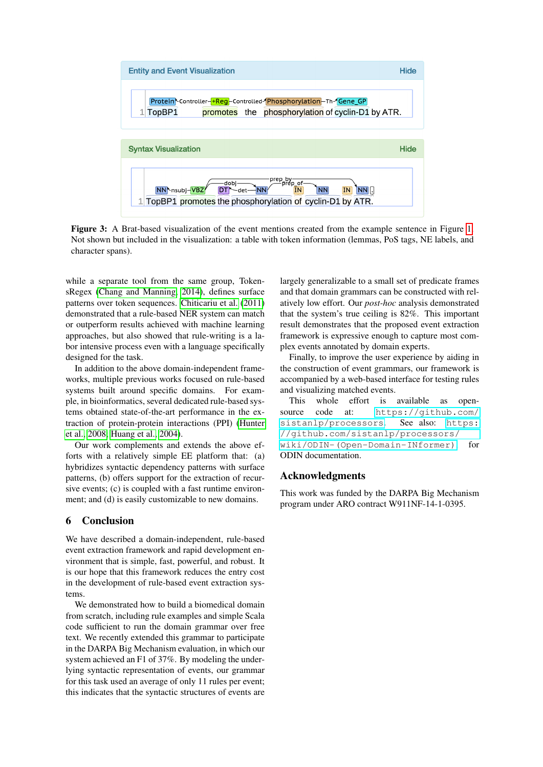<span id="page-4-0"></span>

Figure 3: A Brat-based visualization of the event mentions created from the example sentence in Figure [1.](#page-1-1) Not shown but included in the visualization: a table with token information (lemmas, PoS tags, NE labels, and character spans).

while a separate tool from the same group, TokensRegex [\(Chang and Manning, 2014\)](#page-5-5), defines surface patterns over token sequences. [Chiticariu et al.](#page-5-13) [\(2011\)](#page-5-13) demonstrated that a rule-based NER system can match or outperform results achieved with machine learning approaches, but also showed that rule-writing is a labor intensive process even with a language specifically designed for the task.

In addition to the above domain-independent frameworks, multiple previous works focused on rule-based systems built around specific domains. For example, in bioinformatics, several dedicated rule-based systems obtained state-of-the-art performance in the extraction of protein-protein interactions (PPI) [\(Hunter](#page-5-3) [et al., 2008;](#page-5-3) [Huang et al., 2004\)](#page-5-14).

Our work complements and extends the above efforts with a relatively simple EE platform that: (a) hybridizes syntactic dependency patterns with surface patterns, (b) offers support for the extraction of recursive events; (c) is coupled with a fast runtime environment; and (d) is easily customizable to new domains.

#### 6 Conclusion

We have described a domain-independent, rule-based event extraction framework and rapid development environment that is simple, fast, powerful, and robust. It is our hope that this framework reduces the entry cost in the development of rule-based event extraction systems.

We demonstrated how to build a biomedical domain from scratch, including rule examples and simple Scala code sufficient to run the domain grammar over free text. We recently extended this grammar to participate in the DARPA Big Mechanism evaluation, in which our system achieved an F1 of 37%. By modeling the underlying syntactic representation of events, our grammar for this task used an average of only 11 rules per event; this indicates that the syntactic structures of events are

largely generalizable to a small set of predicate frames and that domain grammars can be constructed with relatively low effort. Our *post-hoc* analysis demonstrated that the system's true ceiling is 82%. This important result demonstrates that the proposed event extraction framework is expressive enough to capture most complex events annotated by domain experts.

Finally, to improve the user experience by aiding in the construction of event grammars, our framework is accompanied by a web-based interface for testing rules and visualizing matched events.

This whole effort is available as opensource code at: [https://github.com/](https://github.com/sistanlp/processors) [sistanlp/processors](https://github.com/sistanlp/processors). See also: [https:](https://github.com/sistanlp/processors/wiki/ODIN-(Open-Domain-INformer)) [//github.com/sistanlp/processors/](https://github.com/sistanlp/processors/wiki/ODIN-(Open-Domain-INformer)) [wiki/ODIN-\(Open-Domain-INformer\)](https://github.com/sistanlp/processors/wiki/ODIN-(Open-Domain-INformer)), for ODIN documentation.

## Acknowledgments

This work was funded by the DARPA Big Mechanism program under ARO contract W911NF-14-1-0395.